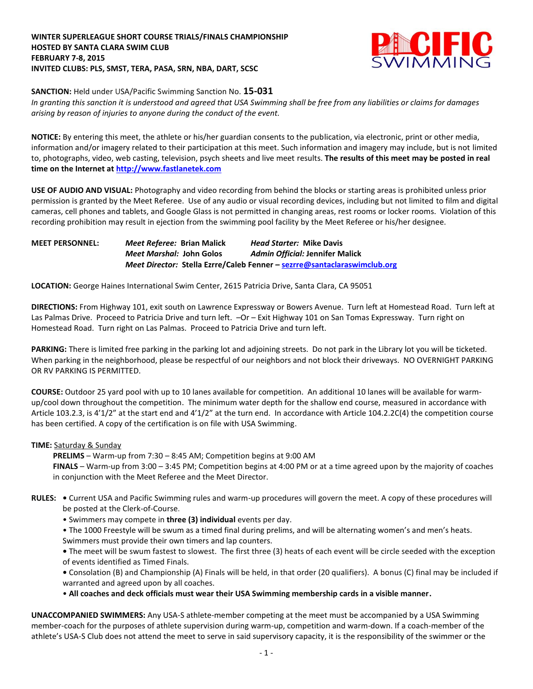## **WINTER SUPERLEAGUE SHORT COURSE TRIALS/FINALS CHAMPIONSHIP HOSTED BY SANTA CLARA SWIM CLUB FEBRUARY 7-8, 2015 INVITED CLUBS: PLS, SMST, TERA, PASA, SRN, NBA, DART, SCSC**



**SANCTION:** Held under USA/Pacific Swimming Sanction No. **15-031**

*In granting this sanction it is understood and agreed that USA Swimming shall be free from any liabilities or claims for damages arising by reason of injuries to anyone during the conduct of the event.*

**NOTICE:** By entering this meet, the athlete or his/her guardian consents to the publication, via electronic, print or other media, information and/or imagery related to their participation at this meet. Such information and imagery may include, but is not limited to, photographs, video, web casting, television, psych sheets and live meet results. **The results of this meet may be posted in real time on the Internet a[t http://www.fastlanetek.com](http://www.fastlanetek.com/)**

**USE OF AUDIO AND VISUAL:** Photography and video recording from behind the blocks or starting areas is prohibited unless prior permission is granted by the Meet Referee. Use of any audio or visual recording devices, including but not limited to film and digital cameras, cell phones and tablets, and Google Glass is not permitted in changing areas, rest rooms or locker rooms. Violation of this recording prohibition may result in ejection from the swimming pool facility by the Meet Referee or his/her designee.

**MEET PERSONNEL:** *Meet Referee:* **Brian Malick** *Head Starter:* **Mike Davis** *Meet Marshal:* **John Golos** *Admin Official:* **Jennifer Malick** *Meet Director:* **Stella Ezrre/Caleb Fenner – [sezrre@santaclaraswimclub.org](mailto:sezrre@santaclaraswimclub.org)**

**LOCATION:** George Haines International Swim Center, 2615 Patricia Drive, Santa Clara, CA 95051

**DIRECTIONS:** From Highway 101, exit south on Lawrence Expressway or Bowers Avenue. Turn left at Homestead Road. Turn left at Las Palmas Drive. Proceed to Patricia Drive and turn left.  $-Or - Ext$  Highway 101 on San Tomas Expressway. Turn right on Homestead Road. Turn right on Las Palmas. Proceed to Patricia Drive and turn left.

**PARKING:** There is limited free parking in the parking lot and adjoining streets. Do not park in the Library lot you will be ticketed. When parking in the neighborhood, please be respectful of our neighbors and not block their driveways. NO OVERNIGHT PARKING OR RV PARKING IS PERMITTED.

**COURSE:** Outdoor 25 yard pool with up to 10 lanes available for competition. An additional 10 lanes will be available for warmup/cool down throughout the competition. The minimum water depth for the shallow end course, measured in accordance with Article 103.2.3, is 4'1/2" at the start end and 4'1/2" at the turn end. In accordance with Article 104.2.2C(4) the competition course has been certified. A copy of the certification is on file with USA Swimming.

## **TIME:** Saturday & Sunday

**PRELIMS** – Warm-up from 7:30 – 8:45 AM; Competition begins at 9:00 AM

 **FINALS** – Warm-up from 3:00 – 3:45 PM; Competition begins at 4:00 PM or at a time agreed upon by the majority of coaches in conjunction with the Meet Referee and the Meet Director.

- **RULES:** Current USA and Pacific Swimming rules and warm-up procedures will govern the meet. A copy of these procedures will be posted at the Clerk-of-Course.
	- Swimmers may compete in **three (3) individual** events per day.
	- The 1000 Freestyle will be swum as a timed final during prelims, and will be alternating women's and men's heats. Swimmers must provide their own timers and lap counters.

**•** The meet will be swum fastest to slowest. The first three (3) heats of each event will be circle seeded with the exception of events identified as Timed Finals.

**•** Consolation (B) and Championship (A) Finals will be held, in that order (20 qualifiers). A bonus (C) final may be included if warranted and agreed upon by all coaches.

• **All coaches and deck officials must wear their USA Swimming membership cards in a visible manner.** 

**UNACCOMPANIED SWIMMERS:** Any USA-S athlete-member competing at the meet must be accompanied by a USA Swimming member-coach for the purposes of athlete supervision during warm-up, competition and warm-down. If a coach-member of the athlete's USA-S Club does not attend the meet to serve in said supervisory capacity, it is the responsibility of the swimmer or the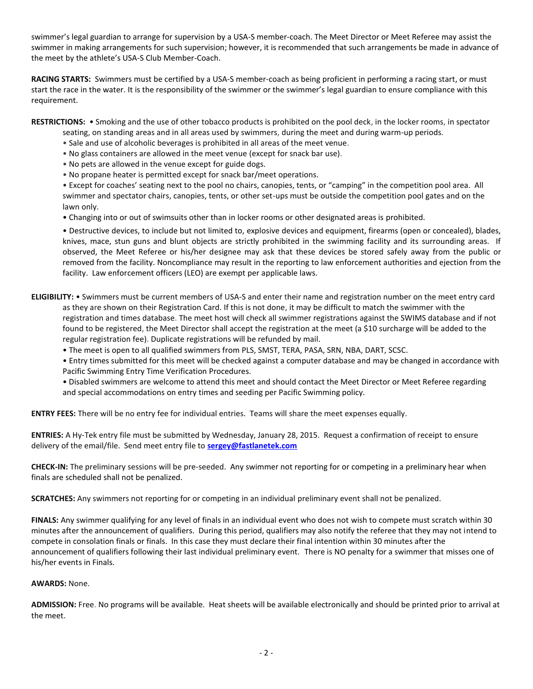swimmer's legal guardian to arrange for supervision by a USA-S member-coach. The Meet Director or Meet Referee may assist the swimmer in making arrangements for such supervision; however, it is recommended that such arrangements be made in advance of the meet by the athlete's USA-S Club Member-Coach.

**RACING STARTS:** Swimmers must be certified by a USA-S member-coach as being proficient in performing a racing start, or must start the race in the water. It is the responsibility of the swimmer or the swimmer's legal guardian to ensure compliance with this requirement.

**RESTRICTIONS:** • Smoking and the use of other tobacco products is prohibited on the pool deck, in the locker rooms, in spectator

- seating, on standing areas and in all areas used by swimmers, during the meet and during warm-up periods.
- Sale and use of alcoholic beverages is prohibited in all areas of the meet venue.
- No glass containers are allowed in the meet venue (except for snack bar use).
- No pets are allowed in the venue except for guide dogs.
- No propane heater is permitted except for snack bar/meet operations.

• Except for coaches' seating next to the pool no chairs, canopies, tents, or "camping" in the competition pool area. All swimmer and spectator chairs, canopies, tents, or other set-ups must be outside the competition pool gates and on the lawn only.

• Changing into or out of swimsuits other than in locker rooms or other designated areas is prohibited.

• Destructive devices, to include but not limited to, explosive devices and equipment, firearms (open or concealed), blades, knives, mace, stun guns and blunt objects are strictly prohibited in the swimming facility and its surrounding areas. If observed, the Meet Referee or his/her designee may ask that these devices be stored safely away from the public or removed from the facility. Noncompliance may result in the reporting to law enforcement authorities and ejection from the facility. Law enforcement officers (LEO) are exempt per applicable laws.

- **ELIGIBILITY:** Swimmers must be current members of USA-S and enter their name and registration number on the meet entry card as they are shown on their Registration Card. If this is not done, it may be difficult to match the swimmer with the registration and times database. The meet host will check all swimmer registrations against the SWIMS database and if not found to be registered, the Meet Director shall accept the registration at the meet (a \$10 surcharge will be added to the regular registration fee). Duplicate registrations will be refunded by mail.
	- The meet is open to all qualified swimmers from PLS, SMST, TERA, PASA, SRN, NBA, DART, SCSC.

• Entry times submitted for this meet will be checked against a computer database and may be changed in accordance with Pacific Swimming Entry Time Verification Procedures.

• Disabled swimmers are welcome to attend this meet and should contact the Meet Director or Meet Referee regarding and special accommodations on entry times and seeding per Pacific Swimming policy.

**ENTRY FEES:** There will be no entry fee for individual entries. Teams will share the meet expenses equally.

**ENTRIES:** A Hy-Tek entry file must be submitted by Wednesday, January 28, 2015. Request a confirmation of receipt to ensure delivery of the email/file. Send meet entry file to **[sergey@fastlanetek.com](mailto:sergey@fastlanetek.com)**

**CHECK-IN:** The preliminary sessions will be pre-seeded. Any swimmer not reporting for or competing in a preliminary hear when finals are scheduled shall not be penalized.

**SCRATCHES:** Any swimmers not reporting for or competing in an individual preliminary event shall not be penalized.

**FINALS:** Any swimmer qualifying for any level of finals in an individual event who does not wish to compete must scratch within 30 minutes after the announcement of qualifiers. During this period, qualifiers may also notify the referee that they may not intend to compete in consolation finals or finals. In this case they must declare their final intention within 30 minutes after the announcement of qualifiers following their last individual preliminary event. There is NO penalty for a swimmer that misses one of his/her events in Finals.

## **AWARDS:** None.

**ADMISSION:** Free. No programs will be available. Heat sheets will be available electronically and should be printed prior to arrival at the meet.